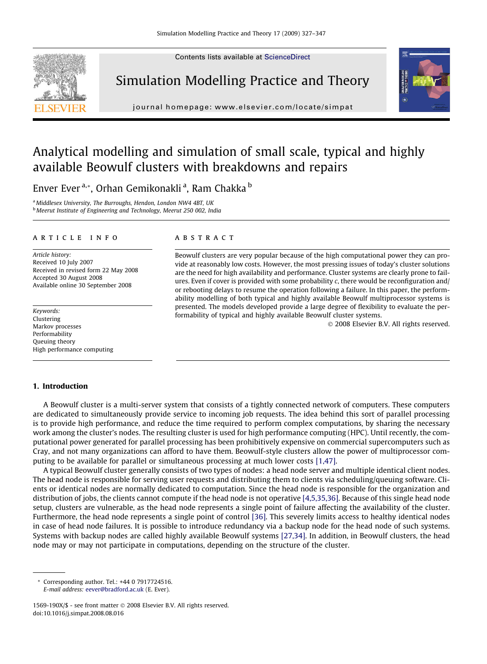Contents lists available at [ScienceDirect](http://www.sciencedirect.com/science/journal/1569190X)









# Analytical modelling and simulation of small scale, typical and highly available Beowulf clusters with breakdowns and repairs

Enver Ever<sup>a,</sup>\*, Orhan Gemikonakli <sup>a</sup>, Ram Chakka <sup>b</sup>

a Middlesex University, The Burroughs, Hendon, London NW4 4BT, UK <sup>b</sup> Meerut Institute of Engineering and Technology, Meerut 250 002, India

#### article info

Article history: Received 10 July 2007 Received in revised form 22 May 2008 Accepted 30 August 2008 Available online 30 September 2008

Keywords: Clustering Markov processes Performability Queuing theory High performance computing

#### **ABSTRACT**

Beowulf clusters are very popular because of the high computational power they can provide at reasonably low costs. However, the most pressing issues of today's cluster solutions are the need for high availability and performance. Cluster systems are clearly prone to failures. Even if cover is provided with some probability c, there would be reconfiguration and/ or rebooting delays to resume the operation following a failure. In this paper, the performability modelling of both typical and highly available Beowulf multiprocessor systems is presented. The models developed provide a large degree of flexibility to evaluate the performability of typical and highly available Beowulf cluster systems.

- 2008 Elsevier B.V. All rights reserved.

## 1. Introduction

A Beowulf cluster is a multi-server system that consists of a tightly connected network of computers. These computers are dedicated to simultaneously provide service to incoming job requests. The idea behind this sort of parallel processing is to provide high performance, and reduce the time required to perform complex computations, by sharing the necessary work among the cluster's nodes. The resulting cluster is used for high performance computing (HPC). Until recently, the computational power generated for parallel processing has been prohibitively expensive on commercial supercomputers such as Cray, and not many organizations can afford to have them. Beowulf-style clusters allow the power of multiprocessor computing to be available for parallel or simultaneous processing at much lower costs [\[1,47\]](#page--1-0).

A typical Beowulf cluster generally consists of two types of nodes: a head node server and multiple identical client nodes. The head node is responsible for serving user requests and distributing them to clients via scheduling/queuing software. Clients or identical nodes are normally dedicated to computation. Since the head node is responsible for the organization and distribution of jobs, the clients cannot compute if the head node is not operative [\[4,5,35,36\]](#page--1-0). Because of this single head node setup, clusters are vulnerable, as the head node represents a single point of failure affecting the availability of the cluster. Furthermore, the head node represents a single point of control [\[36\]](#page--1-0). This severely limits access to healthy identical nodes in case of head node failures. It is possible to introduce redundancy via a backup node for the head node of such systems. Systems with backup nodes are called highly available Beowulf systems [\[27,34\]](#page--1-0). In addition, in Beowulf clusters, the head node may or may not participate in computations, depending on the structure of the cluster.

\* Corresponding author. Tel.: +44 0 7917724516. E-mail address: [eever@bradford.ac.uk](mailto:eever@bradford.ac.uk) (E. Ever).

<sup>1569-190</sup>X/\$ - see front matter © 2008 Elsevier B.V. All rights reserved. doi:10.1016/j.simpat.2008.08.016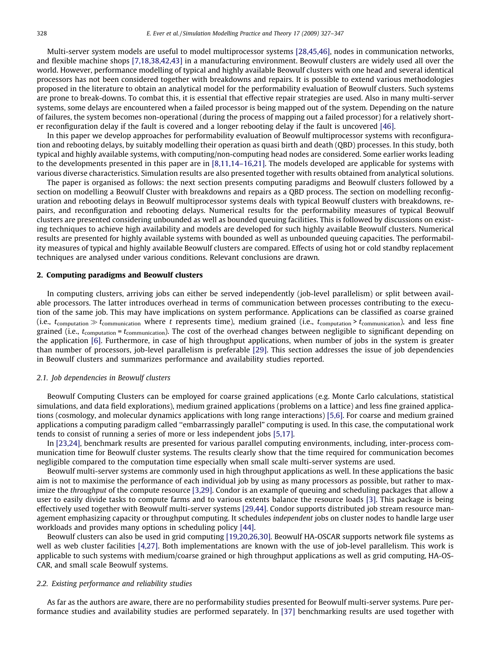Multi-server system models are useful to model multiprocessor systems [\[28,45,46\]](#page--1-0), nodes in communication networks, and flexible machine shops [\[7,18,38,42,43\]](#page--1-0) in a manufacturing environment. Beowulf clusters are widely used all over the world. However, performance modelling of typical and highly available Beowulf clusters with one head and several identical processors has not been considered together with breakdowns and repairs. It is possible to extend various methodologies proposed in the literature to obtain an analytical model for the performability evaluation of Beowulf clusters. Such systems are prone to break-downs. To combat this, it is essential that effective repair strategies are used. Also in many multi-server systems, some delays are encountered when a failed processor is being mapped out of the system. Depending on the nature of failures, the system becomes non-operational (during the process of mapping out a failed processor) for a relatively shorter reconfiguration delay if the fault is covered and a longer rebooting delay if the fault is uncovered [\[46\].](#page--1-0)

In this paper we develop approaches for performability evaluation of Beowulf multiprocessor systems with reconfiguration and rebooting delays, by suitably modelling their operation as quasi birth and death (QBD) processes. In this study, both typical and highly available systems, with computing/non-computing head nodes are considered. Some earlier works leading to the developments presented in this paper are in [\[8,11,14–16,21\]](#page--1-0). The models developed are applicable for systems with various diverse characteristics. Simulation results are also presented together with results obtained from analytical solutions.

The paper is organised as follows: the next section presents computing paradigms and Beowulf clusters followed by a section on modelling a Beowulf Cluster with breakdowns and repairs as a QBD process. The section on modelling reconfiguration and rebooting delays in Beowulf multiprocessor systems deals with typical Beowulf clusters with breakdowns, repairs, and reconfiguration and rebooting delays. Numerical results for the performability measures of typical Beowulf clusters are presented considering unbounded as well as bounded queuing facilities. This is followed by discussions on existing techniques to achieve high availability and models are developed for such highly available Beowulf clusters. Numerical results are presented for highly available systems with bounded as well as unbounded queuing capacities. The performability measures of typical and highly available Beowulf clusters are compared. Effects of using hot or cold standby replacement techniques are analysed under various conditions. Relevant conclusions are drawn.

### 2. Computing paradigms and Beowulf clusters

In computing clusters, arriving jobs can either be served independently (job-level parallelism) or split between available processors. The latter introduces overhead in terms of communication between processes contributing to the execution of the same job. This may have implications on system performance. Applications can be classified as coarse grained (i.e.,  $t_{\rm computation} \gg t_{\rm communication}$  where  $t$  represents time), medium grained (i.e.,  $t_{\rm computation}$  >  $t_{\rm communication}$ ), and less fine grained (i.e.,  $t_{\text{computation}} = t_{\text{commutation}}$ ). The cost of the overhead changes between negligible to significant depending on the application [\[6\].](#page--1-0) Furthermore, in case of high throughput applications, when number of jobs in the system is greater than number of processors, job-level parallelism is preferable [\[29\]](#page--1-0). This section addresses the issue of job dependencies in Beowulf clusters and summarizes performance and availability studies reported.

#### 2.1. Job dependencies in Beowulf clusters

Beowulf Computing Clusters can be employed for coarse grained applications (e.g. Monte Carlo calculations, statistical simulations, and data field explorations), medium grained applications (problems on a lattice) and less fine grained applications (cosmology, and molecular dynamics applications with long range interactions) [\[5,6\]](#page--1-0). For coarse and medium grained applications a computing paradigm called ''embarrassingly parallel" computing is used. In this case, the computational work tends to consist of running a series of more or less independent jobs [\[5,17\].](#page--1-0)

In [\[23,24\],](#page--1-0) benchmark results are presented for various parallel computing environments, including, inter-process communication time for Beowulf cluster systems. The results clearly show that the time required for communication becomes negligible compared to the computation time especially when small scale multi-server systems are used.

Beowulf multi-server systems are commonly used in high throughput applications as well. In these applications the basic aim is not to maximise the performance of each individual job by using as many processors as possible, but rather to maximize the throughput of the compute resource [\[3,29\]](#page--1-0). Condor is an example of queuing and scheduling packages that allow a user to easily divide tasks to compute farms and to various extents balance the resource loads [\[3\]](#page--1-0). This package is being effectively used together with Beowulf multi-server systems [\[29,44\].](#page--1-0) Condor supports distributed job stream resource management emphasizing capacity or throughput computing. It schedules independent jobs on cluster nodes to handle large user workloads and provides many options in scheduling policy [\[44\]](#page--1-0).

Beowulf clusters can also be used in grid computing [\[19,20,26,30\].](#page--1-0) Beowulf HA-OSCAR supports network file systems as well as web cluster facilities [\[4,27\].](#page--1-0) Both implementations are known with the use of job-level parallelism. This work is applicable to such systems with medium/coarse grained or high throughput applications as well as grid computing, HA-OS-CAR, and small scale Beowulf systems.

#### 2.2. Existing performance and reliability studies

As far as the authors are aware, there are no performability studies presented for Beowulf multi-server systems. Pure performance studies and availability studies are performed separately. In [\[37\]](#page--1-0) benchmarking results are used together with